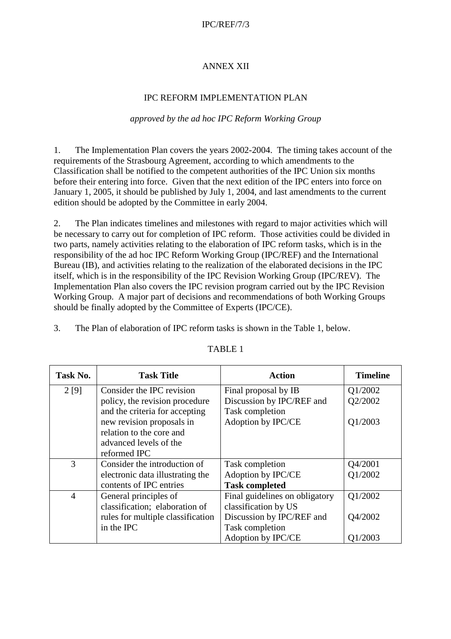#### IPC/REF/7/3

### ANNEX XII

### IPC REFORM IMPLEMENTATION PLAN

#### *approved by the ad hoc IPC Reform Working Group*

1. The Implementation Plan covers the years 2002-2004. The timing takes account of the requirements of the Strasbourg Agreement, according to which amendments to the Classification shall be notified to the competent authorities of the IPC Union six months before their entering into force. Given that the next edition of the IPC enters into force on January 1, 2005, it should be published by July 1, 2004, and last amendments to the current edition should be adopted by the Committee in early 2004.

2. The Plan indicates timelines and milestones with regard to major activities which will be necessary to carry out for completion of IPC reform. Those activities could be divided in two parts, namely activities relating to the elaboration of IPC reform tasks, which is in the responsibility of the ad hoc IPC Reform Working Group (IPC/REF) and the International Bureau (IB), and activities relating to the realization of the elaborated decisions in the IPC itself, which is in the responsibility of the IPC Revision Working Group (IPC/REV). The Implementation Plan also covers the IPC revision program carried out by the IPC Revision Working Group. A major part of decisions and recommendations of both Working Groups should be finally adopted by the Committee of Experts (IPC/CE).

3. The Plan of elaboration of IPC reform tasks is shown in the Table 1, below.

| Task No.       | <b>Task Title</b>                 | <b>Action</b>                  | <b>Timeline</b> |
|----------------|-----------------------------------|--------------------------------|-----------------|
| 2 [9]          | Consider the IPC revision         | Final proposal by IB           | Q1/2002         |
|                | policy, the revision procedure    | Discussion by IPC/REF and      | Q2/2002         |
|                | and the criteria for accepting    | Task completion                |                 |
|                | new revision proposals in         | Adoption by IPC/CE             | Q1/2003         |
|                | relation to the core and          |                                |                 |
|                | advanced levels of the            |                                |                 |
|                | reformed IPC                      |                                |                 |
| 3              | Consider the introduction of      | Task completion                | Q4/2001         |
|                | electronic data illustrating the  | Adoption by IPC/CE             | Q1/2002         |
|                | contents of IPC entries           | <b>Task completed</b>          |                 |
| $\overline{4}$ | General principles of             | Final guidelines on obligatory | Q1/2002         |
|                | classification; elaboration of    | classification by US           |                 |
|                | rules for multiple classification | Discussion by IPC/REF and      | Q4/2002         |
|                | in the IPC                        | Task completion                |                 |
|                |                                   | Adoption by IPC/CE             | Q1/2003         |

#### TABLE 1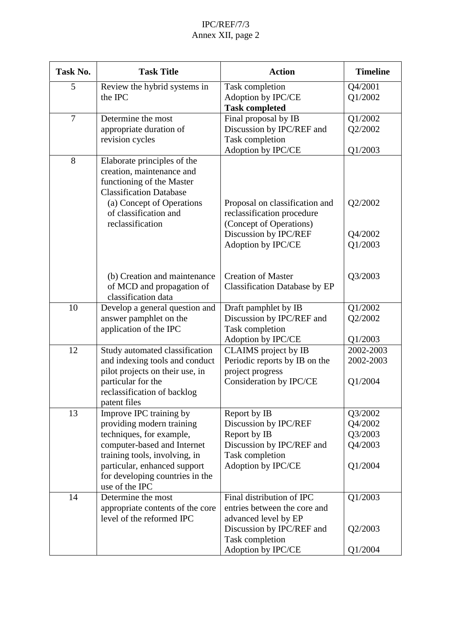# IPC/REF/7/3 Annex XII, page 2

| Task No.       | <b>Task Title</b>                                                                                                                                                                                                                     | <b>Action</b>                                                                                                                                           | <b>Timeline</b>                                     |
|----------------|---------------------------------------------------------------------------------------------------------------------------------------------------------------------------------------------------------------------------------------|---------------------------------------------------------------------------------------------------------------------------------------------------------|-----------------------------------------------------|
| 5              | Review the hybrid systems in<br>the IPC                                                                                                                                                                                               | Task completion<br>Adoption by IPC/CE<br><b>Task completed</b>                                                                                          | Q4/2001<br>Q1/2002                                  |
| $\overline{7}$ | Determine the most<br>appropriate duration of<br>revision cycles                                                                                                                                                                      | Final proposal by IB<br>Discussion by IPC/REF and<br>Task completion<br>Adoption by IPC/CE                                                              | Q1/2002<br>Q2/2002<br>Q1/2003                       |
| 8              | Elaborate principles of the<br>creation, maintenance and<br>functioning of the Master<br><b>Classification Database</b><br>(a) Concept of Operations<br>of classification and<br>reclassification                                     | Proposal on classification and<br>reclassification procedure<br>(Concept of Operations)<br>Discussion by IPC/REF                                        | Q2/2002<br>Q4/2002                                  |
|                | (b) Creation and maintenance<br>of MCD and propagation of<br>classification data                                                                                                                                                      | Adoption by IPC/CE<br><b>Creation of Master</b><br><b>Classification Database by EP</b>                                                                 | Q1/2003<br>Q3/2003                                  |
| 10             | Develop a general question and<br>answer pamphlet on the<br>application of the IPC                                                                                                                                                    | Draft pamphlet by IB<br>Discussion by IPC/REF and<br>Task completion<br>Adoption by IPC/CE                                                              | Q1/2002<br>Q2/2002<br>Q1/2003                       |
| 12             | Study automated classification<br>and indexing tools and conduct<br>pilot projects on their use, in<br>particular for the<br>reclassification of backlog<br>patent files                                                              | CLAIMS project by IB<br>Periodic reports by IB on the<br>project progress<br>Consideration by IPC/CE                                                    | 2002-2003<br>2002-2003<br>Q1/2004                   |
| 13             | Improve IPC training by<br>providing modern training<br>techniques, for example,<br>computer-based and Internet<br>training tools, involving, in<br>particular, enhanced support<br>for developing countries in the<br>use of the IPC | Report by IB<br>Discussion by IPC/REF<br>Report by IB<br>Discussion by IPC/REF and<br>Task completion<br>Adoption by IPC/CE                             | Q3/2002<br>Q4/2002<br>Q3/2003<br>Q4/2003<br>Q1/2004 |
| 14             | Determine the most<br>appropriate contents of the core<br>level of the reformed IPC                                                                                                                                                   | Final distribution of IPC<br>entries between the core and<br>advanced level by EP<br>Discussion by IPC/REF and<br>Task completion<br>Adoption by IPC/CE | Q1/2003<br>Q2/2003<br>Q1/2004                       |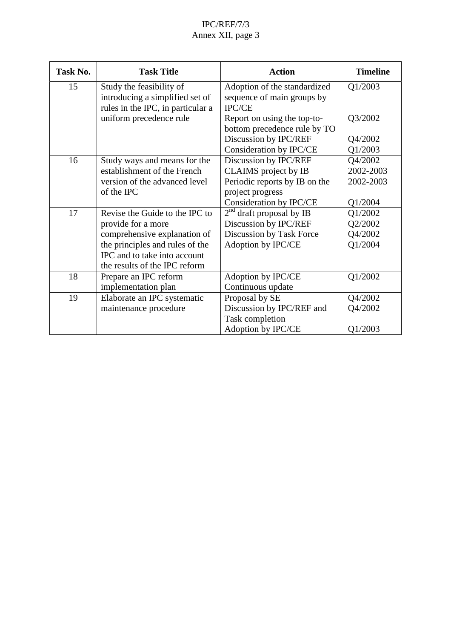# IPC/REF/7/3 Annex XII, page 3

| Task No. | <b>Task Title</b>                                           | <b>Action</b>                                              | <b>Timeline</b> |
|----------|-------------------------------------------------------------|------------------------------------------------------------|-----------------|
| 15       | Study the feasibility of<br>introducing a simplified set of | Adoption of the standardized<br>sequence of main groups by | Q1/2003         |
|          | rules in the IPC, in particular a                           | <b>IPC/CE</b>                                              |                 |
|          | uniform precedence rule                                     | Report on using the top-to-                                | Q3/2002         |
|          |                                                             | bottom precedence rule by TO                               |                 |
|          |                                                             | Discussion by IPC/REF                                      | Q4/2002         |
|          |                                                             | Consideration by IPC/CE                                    | Q1/2003         |
| 16       | Study ways and means for the                                | Discussion by IPC/REF                                      | Q4/2002         |
|          | establishment of the French                                 | CLAIMS project by IB                                       | 2002-2003       |
|          | version of the advanced level                               | Periodic reports by IB on the                              | 2002-2003       |
|          | of the IPC                                                  | project progress                                           |                 |
|          |                                                             | Consideration by IPC/CE                                    | Q1/2004         |
| 17       | Revise the Guide to the IPC to                              | $2nd$ draft proposal by IB                                 | Q1/2002         |
|          | provide for a more                                          | Discussion by IPC/REF                                      | Q2/2002         |
|          | comprehensive explanation of                                | Discussion by Task Force                                   | Q4/2002         |
|          | the principles and rules of the                             | Adoption by IPC/CE                                         | Q1/2004         |
|          | IPC and to take into account                                |                                                            |                 |
|          | the results of the IPC reform                               |                                                            |                 |
| 18       | Prepare an IPC reform                                       | Adoption by IPC/CE                                         | Q1/2002         |
|          | implementation plan                                         | Continuous update                                          |                 |
| 19       | Elaborate an IPC systematic                                 | Proposal by SE                                             | Q4/2002         |
|          | maintenance procedure                                       | Discussion by IPC/REF and                                  | Q4/2002         |
|          |                                                             | Task completion                                            |                 |
|          |                                                             | Adoption by IPC/CE                                         | Q1/2003         |